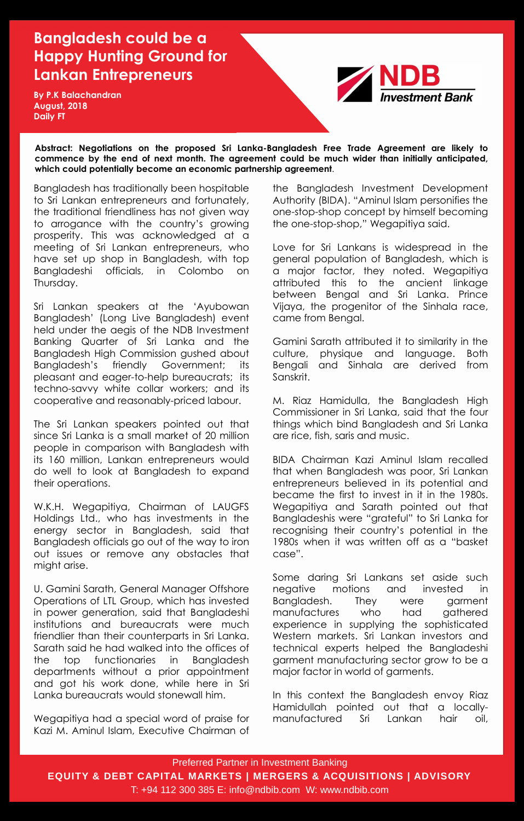Bangladesh has traditionally been hospitable to Sri Lankan entrepreneurs and fortunately, the traditional friendliness has not given way to arrogance with the country"s growing prosperity. This was acknowledged at a meeting of Sri Lankan entrepreneurs, who have set up shop in Bangladesh, with top Bangladeshi officials, in Colombo on Thursday.

Sri Lankan speakers at the "Ayubowan Bangladesh" (Long Live Bangladesh) event held under the aegis of the NDB Investment Banking Quarter of Sri Lanka and the Bangladesh High Commission gushed about Bangladesh"s friendly Government; its pleasant and eager-to-help bureaucrats; its techno-savvy white collar workers; and its cooperative and reasonably-priced labour.

The Sri Lankan speakers pointed out that since Sri Lanka is a small market of 20 million people in comparison with Bangladesh with its 160 million, Lankan entrepreneurs would do well to look at Bangladesh to expand their operations.

W.K.H. Wegapitiya, Chairman of LAUGFS Holdings Ltd., who has investments in the energy sector in Bangladesh, said that Bangladesh officials go out of the way to iron out issues or remove any obstacles that might arise.

U. Gamini Sarath, General Manager Offshore Operations of LTL Group, which has invested in power generation, said that Bangladeshi institutions and bureaucrats were much friendlier than their counterparts in Sri Lanka. Sarath said he had walked into the offices of the top functionaries in Bangladesh departments without a prior appointment and got his work done, while here in Sri Lanka bureaucrats would stonewall him.

Wegapitiya had a special word of praise for Kazi M. Aminul Islam, Executive Chairman of the Bangladesh Investment Development Authority (BIDA). "Aminul Islam personifies the one-stop-shop concept by himself becoming the one-stop-shop," Wegapitiya said.

Love for Sri Lankans is widespread in the general population of Bangladesh, which is a major factor, they noted. Wegapitiya attributed this to the ancient linkage between Bengal and Sri Lanka. Prince Vijaya, the progenitor of the Sinhala race, came from Bengal.

Gamini Sarath attributed it to similarity in the culture, physique and language. Both Bengali and Sinhala are derived from Sanskrit.

M. Riaz Hamidulla, the Bangladesh High Commissioner in Sri Lanka, said that the four things which bind Bangladesh and Sri Lanka are rice, fish, saris and music.

BIDA Chairman Kazi Aminul Islam recalled that when Bangladesh was poor, Sri Lankan entrepreneurs believed in its potential and became the first to invest in it in the 1980s. Wegapitiya and Sarath pointed out that Bangladeshis were "grateful" to Sri Lanka for recognising their country"s potential in the 1980s when it was written off as a "basket case".

Some daring Sri Lankans set aside such negative motions and invested in Bangladesh. They were garment manufactures who had gathered experience in supplying the sophisticated Western markets. Sri Lankan investors and technical experts helped the Bangladeshi garment manufacturing sector grow to be a major factor in world of garments.

In this context the Bangladesh envoy Riaz Hamidullah pointed out that a locallymanufactured Sri Lankan hair oil,

Preferred Partner in Investment Banking **EQUITY & DEBT CAPITAL MARKETS | MERGERS & ACQUISITIONS | ADVISORY** T: +94 112 300 385 E: info@ndbib.com W: www.ndbib.com

## **Bangladesh could be a Happy Hunting Ground for Lankan Entrepreneurs**

**Abstract: Negotiations on the proposed Sri Lanka-Bangladesh Free Trade Agreement are likely to commence by the end of next month. The agreement could be much wider than initially anticipated, which could potentially become an economic partnership agreement**.

**By P.K Balachandran August, 2018 Daily FT**

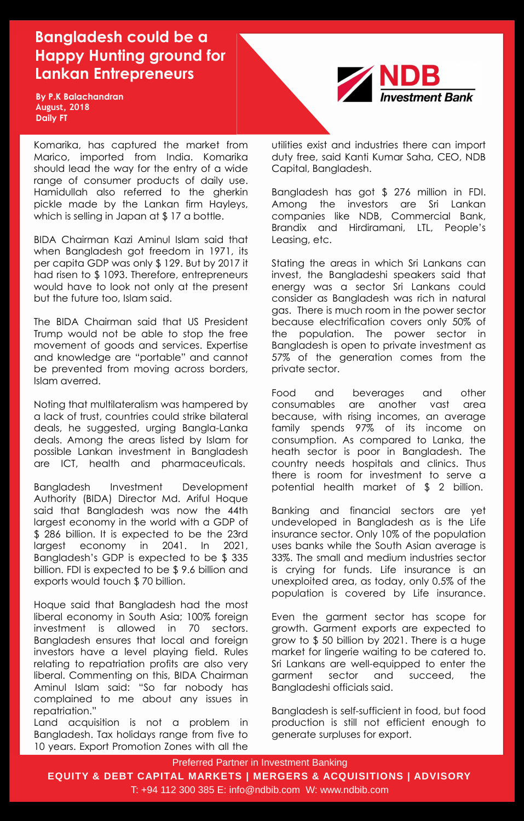BIDA Chairman Kazi Aminul Islam said that when Bangladesh got freedom in 1971, its per capita GDP was only \$ 129. But by 2017 it had risen to \$ 1093. Therefore, entrepreneurs would have to look not only at the present but the future too, Islam said.

The BIDA Chairman said that US President Trump would not be able to stop the free movement of goods and services. Expertise and knowledge are "portable" and cannot be prevented from moving across borders, Islam averred.

Noting that multilateralism was hampered by a lack of trust, countries could strike bilateral deals, he suggested, urging Bangla-Lanka deals. Among the areas listed by Islam for possible Lankan investment in Bangladesh are ICT, health and pharmaceuticals.

Bangladesh Investment Development Authority (BIDA) Director Md. Ariful Hoque said that Bangladesh was now the 44th largest economy in the world with a GDP of \$ 286 billion. It is expected to be the 23rd largest economy in 2041. In 2021, Bangladesh"s GDP is expected to be \$ 335 billion. FDI is expected to be \$ 9.6 billion and exports would touch \$ 70 billion.

Hoque said that Bangladesh had the most liberal economy in South Asia; 100% foreign investment is allowed in 70 sectors. Bangladesh ensures that local and foreign investors have a level playing field. Rules relating to repatriation profits are also very liberal. Commenting on this, BIDA Chairman Aminul Islam said: "So far nobody has complained to me about any issues in repatriation."

Land acquisition is not a problem in Bangladesh. Tax holidays range from five to 10 years. Export Promotion Zones with all the

utilities exist and industries there can import duty free, said Kanti Kumar Saha, CEO, NDB Capital, Bangladesh.

Bangladesh has got \$ 276 million in FDI. Among the investors are Sri Lankan companies like NDB, Commercial Bank, Brandix and Hirdiramani, LTL, People"s Leasing, etc.

Stating the areas in which Sri Lankans can invest, the Bangladeshi speakers said that energy was a sector Sri Lankans could consider as Bangladesh was rich in natural gas. There is much room in the power sector because electrification covers only 50% of the population. The power sector in Bangladesh is open to private investment as 57% of the generation comes from the private sector.

Food and beverages and other consumables are another vast area because, with rising incomes, an average family spends 97% of its income on consumption. As compared to Lanka, the heath sector is poor in Bangladesh. The country needs hospitals and clinics. Thus there is room for investment to serve a potential health market of \$ 2 billion. Banking and financial sectors are yet undeveloped in Bangladesh as is the Life insurance sector. Only 10% of the population uses banks while the South Asian average is 33%. The small and medium industries sector is crying for funds. Life insurance is an unexploited area, as today, only 0.5% of the population is covered by Life insurance.

Even the garment sector has scope for growth. Garment exports are expected to grow to \$ 50 billion by 2021. There is a huge market for lingerie waiting to be catered to. Sri Lankans are well-equipped to enter the garment sector and succeed, the Bangladeshi officials said.

Bangladesh is self-sufficient in food, but food production is still not efficient enough to generate surpluses for export.

Preferred Partner in Investment Banking

**EQUITY & DEBT CAPITAL MARKETS | MERGERS & ACQUISITIONS | ADVISORY**

T: +94 112 300 385 E: info@ndbib.com W: www.ndbib.com

## **Bangladesh could be a Happy Hunting ground for Lankan Entrepreneurs**

**By P.K Balachandran August, 2018 Daily FT**



Komarika, has captured the market from Marico, imported from India. Komarika should lead the way for the entry of a wide range of consumer products of daily use. Hamidullah also referred to the gherkin pickle made by the Lankan firm Hayleys, which is selling in Japan at \$17 a bottle.